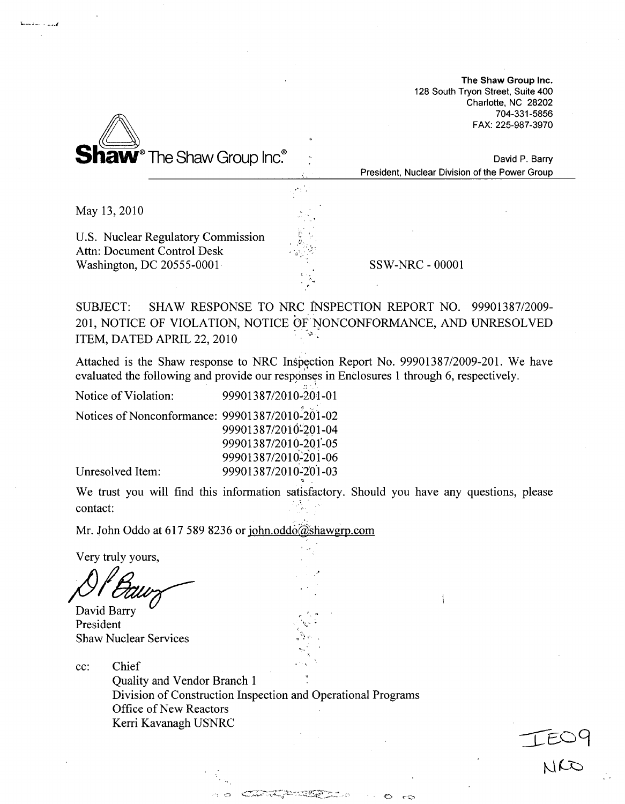The Shaw Group Inc. 128 South Tryon Street, Suite 400 Charlotte, NC 28202 704-331-5856 FAX: 225-987-3970

 $204$ 



David P. Barry President, Nuclear Division of the Power Group

May 13, 2010

**1--, - 1-1**

U.S. Nuclear Regulatory Commission Attn: Document Control Desk Washington, DC 20555-0001 SSW-NRC - 00001

SUBJECT: SHAW RESPONSE TO NRC INSPECTION REPORT NO. 99901387/2009- 201, NOTICE OF VIOLATION, NOTICE OF NONCONFORMANCE, AND UNRESOLVED ITEM, DATED APRIL 22, 2010

Attached is the Shaw response to NRC Inspection Report No. 99901387/2009-201. We have evaluated the following and provide our responses in Enclosures 1 through 6, respectively.

Notice of Violation: Notices of Nonconformance: 99901387/2010-201-02 99901387/2010-201-01 99901387/2010-201-04 99901387/2010-20 1"-05 99901387/2010-201-06 99901387/2010'201-03

Unresolved Item:

We trust you will find this information satisfactory. Should you have any questions, please contact:

Mr. John Oddo at 617 589 8236 or john.oddo@shawgrp.com

~C)

Very truly yours,

David Barry President Shaw Nuclear Services

cc: Chief

Quality and Vendor Branch 1 Division of Construction Inspection and Operational Programs Office of New Reactors Kerri Kavanagh USNRC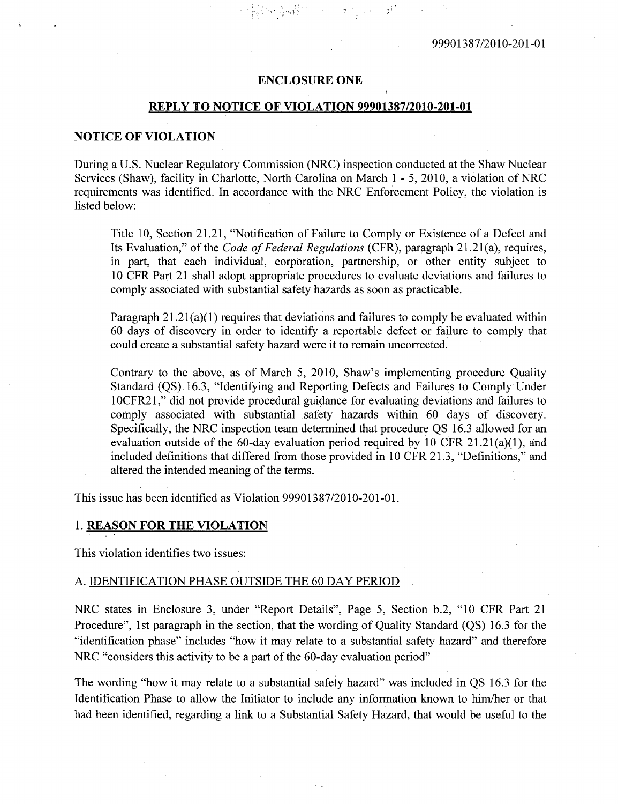## **ENCLOSURE ONE**

## REPLY TO **NOTICE** OF **VIOLATION 99901387/2010-201-01**

## **NOTICE** OF **VIOLATION**

During a U.S. Nuclear Regulatory Commission (NRC) inspection conducted at the Shaw Nuclear Services (Shaw), facility in Charlotte, North Carolina on March 1 - 5, 2010, a violation of NRC requirements was identified. In accordance with the NRC Enforcement Policy, the violation is listed below:

Title 10, Section 21.21, "Notification of Failure to Comply or Existence of a Defect and Its Evaluation," of the *Code of Federal Regulations* (CFR), paragraph 21.21 (a), requires, in part, that each individual, corporation, partnership, or other entity subject to 10 CFR Part 21 shall adopt appropriate procedures to evaluate deviations and failures to comply associated with substantial safety hazards as soon as practicable.

Paragraph  $21.21(a)(1)$  requires that deviations and failures to comply be evaluated within 60 days of discovery in order to identify a reportable defect or failure to comply that could create a substantial safety hazard were it to remain uncorrected.

Contrary to the above, as of March 5, 2010, Shaw's implementing procedure Quality Standard (QS) 16.3, "Identifying and Reporting Defects and Failures to Comply Under 10CFR21," did not provide procedural guidance for evaluating deviations and failures to comply associated with substantial safety hazards within 60 days of discovery. Specifically, the NRC inspection team determined that procedure QS 16.3 allowed for an evaluation outside of the 60-day evaluation period required by 10 CFR 21.21(a)(1), and included definitions that differed from those provided in 10 CFR 21.3, "Definitions," and altered the intended meaning of the terms.

This issue has been identified as Violation 99901387/2010-201-01.

#### 1. REASON FOR THE **VIOLATION**

This violation identifies two issues:

#### A. IDENTIFICATION PHASE OUTSIDE THE 60 DAY PERIOD

NRC states in Enclosure 3, under "Report Details", Page 5, Section b.2, "10 CFR Part 21 Procedure", 1st paragraph in the section, that the wording of Quality Standard (QS) 16.3 for the "identification phase" includes "how it may relate to a substantial safety hazard" and therefore NRC "considers this activity to be a part of the 60-day evaluation period"

The wording "how it may relate to a substantial safety hazard" was included in QS 16.3 for the Identification Phase to allow the Initiator to include any information known to him/her or that had been identified, regarding a link to a Substantial Safety Hazard, that would be useful to the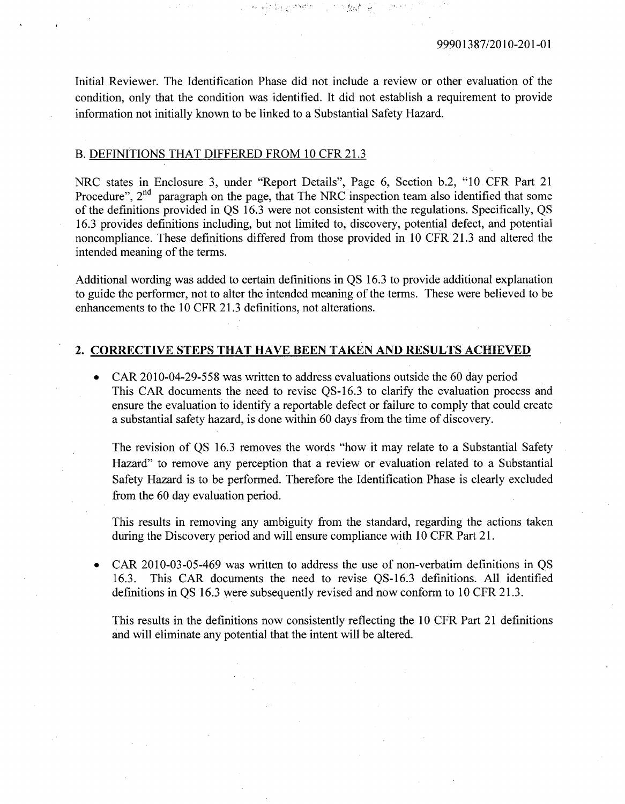Initial Reviewer. The Identification Phase did not include a review or other evaluation of the condition, only that the condition was identified. It did not establish a requirement to provide information not initially known to be linked to a Substantial Safety Hazard.

المتوارثة الوعا

1. 气动病

## B. **DEFINITIONS** THAT DIFFERED FROM **10** CFR **21.3**

NRC states in Enclosure **3,** under "Report Details", Page **6,** Section **b.2, "10** CFR Part 21 Procedure", 2<sup>nd</sup> paragraph on the page, that The NRC inspection team also identified that some of the definitions provided in **QS 16.3** were not consistent with the regulations. Specifically, **QS 16.3** provides definitions including, but not limited to, discovery, potential defect, and potential noncompliance. These definitions differed from those provided in **10** CFR **21.3** and altered the intended meaning of the terms.

Additional wording was added to certain definitions in **QS 16.3** to provide additional explanation to guide the performer, not to alter the intended meaning of the terms. These were believed to be enhancements to the **10** CFR **21.3** definitions, not alterations.

# 2. CORRECTIVE **STEPS** THAT **HAVE BEEN TAKEN AND RESULTS ACHIEVED**

**"** CAR **2010-04-29-558** was written to address evaluations outside the **60** day period This CAR documents the need to revise **QS-16.3** to clarify the evaluation process and ensure the evaluation to identify a reportable defect or failure to comply that could create a substantial safety hazard, is done within **60** days from the time of discovery.

The revision of **QS 16.3** removes the words "how it may relate to a Substantial Safety Hazard" to remove any perception that a review or evaluation related to a Substantial Safety Hazard is to be performed. Therefore the Identification Phase is clearly excluded from the **60** day evaluation period.

This results in removing any ambiguity from the standard, regarding the actions taken during the Discovery period and will ensure compliance with 10 CFR Part 21.

**"** CAR **2010-03-05-469** was written to address the use of non-verbatim definitions in **QS 16.3.** This CAR documents the need to revise **QS-16.3** definitions. **All** identified definitions in **QS 16.3** were subsequently revised and now conform to **10** CFR **21.3.**

This results in the definitions now consistently reflecting the **10** CFR Part 21 definitions and will eliminate any potential that the intent will be altered.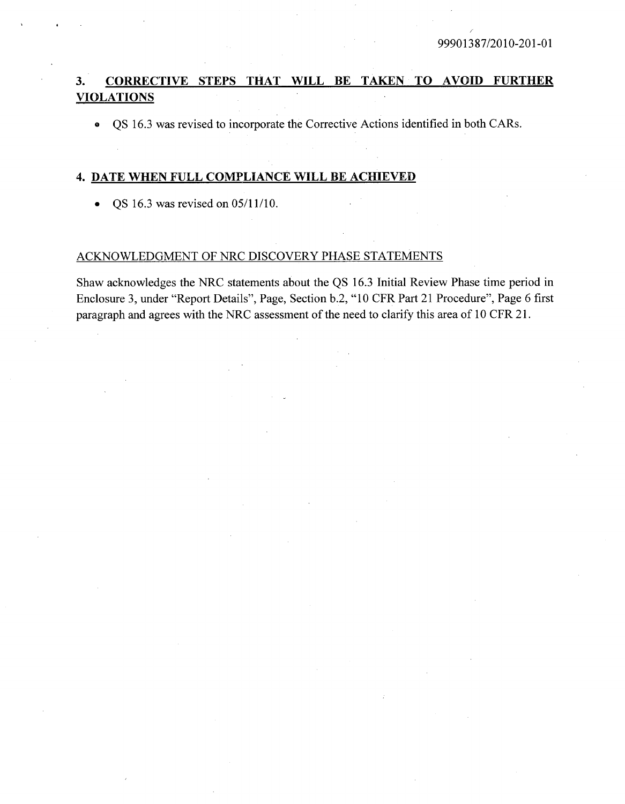# **3.** CORRECTIVE **STEPS** THAT WILL BE **TAKEN** TO **AVOID** FURTHER **VIOLATIONS**

• QS 16.3 was revised to incorporate the Corrective Actions identified in both CARs.

## 4. **DATE** WHEN FULL COMPLIANCE WILL BE ACHIEVED

• QS 16.3 was revised on  $05/11/10$ .

# ACKNOWLEDGMENT OF NRC DISCOVERY PHASE STATEMENTS

Shaw acknowledges the NRC statements about the QS 16.3 Initial Review Phase time period in Enclosure 3, under "Report Details", Page, Section b.2, "10 CFR Part 21 Procedure", Page 6 first paragraph and agrees with the NRC assessment of the need to clarify this area of 10 CFR 21.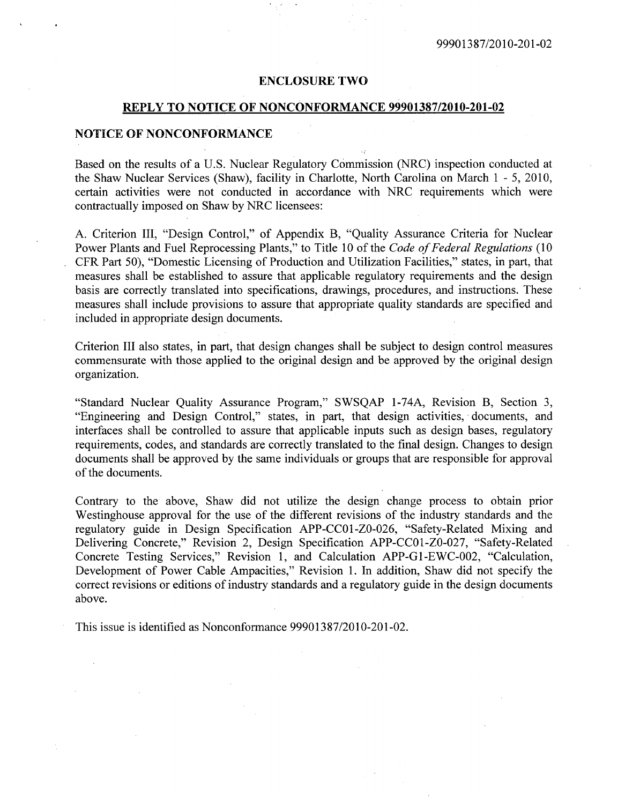#### ENCLOSURE TWO

## REPLY TO NOTICE OF NONCONFORMANCE 99901387/2010-201-02

### NOTICE OF NONCONFORMANCE

Based on the results of a U.S. Nuclear Regulatory Commission (NRC) inspection conducted at the Shaw Nuclear Services (Shaw), facility in Charlotte, North Carolina on March 1 - 5, 2010, certain activities were not conducted in accordance with NRC requirements which were contractually imposed on Shaw by NRC licensees:

A. Criterion III, "Design Control," of Appendix B, "Quality Assurance Criteria for Nuclear Power Plants and Fuel Reprocessing Plants," to Title 10 of the *Code of Federal Regulations* (10 CFR Part 50), "Domestic Licensing of Production and Utilization Facilities," states, in part, that measures shall be established to assure that applicable regulatory requirements and the design basis are correctly translated into specifications, drawings, procedures, and instructions. These measures shall include provisions to assure that appropriate quality standards are specified and included in appropriate design documents.

Criterion III also states, in part, that design changes shall be subject to design control measures commensurate with those applied to the original design and be approved by the original design organization.

"Standard Nuclear Quality Assurance Program," SWSQAP 1-74A, Revision B, Section 3, "Engineering and Design Control," states, in part, that design activities, documents, and interfaces shall be controlled to assure that applicable inputs such as design bases, regulatory requirements, codes, and standards are correctly translated to the final design. Changes to design documents shall be approved by the same individuals or groups that are responsible for approval of the documents.

Contrary to the above, Shaw did not utilize the design change process to obtain prior Westinghouse approval for the use of the different revisions of the industry standards and the regulatory guide in Design Specification APP-CC01-ZO-026, "Safety-Related Mixing and Delivering Concrete," Revision 2, Design Specification APP-CCO1-ZO-027, "Safety-Related Concrete Testing Services," Revision 1, and Calculation APP-G1-EWC-002, "Calculation, Development of Power Cable Ampacities," Revision 1. In addition, Shaw did not specify the correct revisions or editions of industry standards and a regulatory guide in the design documents above.

This issue is identified as Nonconformance 99901387/2010-201-02.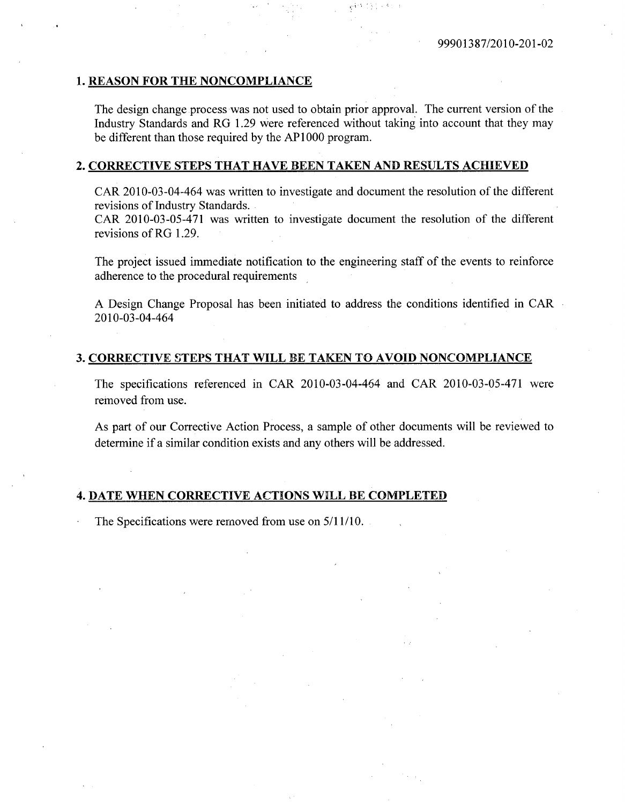## **1. REASON** FOR THE **NONCOMPLIANCE**

The design change process was not used to obtain prior approval. The current version of the Industry Standards and RG **1.29** were referenced without taking into account that they may be different than those required **by** the AP **1000** program.

#### 2. CORRECTIVE **STEPS** THAT **HAVE BEEN TAKEN AND RESULTS ACHIEVED**

CAR 2010-03-04-464 was written to investigate and document the resolution of the different revisions of Industry Standards.

CAR **2010-03-05-471** was written to investigate document the resolution of the different revisions of RG **1.29.**

The project issued immediate notification to the engineering staff of the events to reinforce adherence to the procedural requirements

**A** Design Change Proposal has been initiated to address the conditions identified in CAR 2010-03-04-464

#### **3.** CORRECTIVE **STEPS** THAT WILL BE **TAKEN** TO **AVOID NONCOMPLIANCE**

The specifications referenced in CAR 2010-03-04-464 and CAR **2010-03-05-471** were removed from use.

As part of our Corrective Action Process, a sample of other documents will be reviewed to determine if a similar condition exists and any others will be addressed.

## 4. **DATE WHEN** CORRECTIVE **ACTIONS** WILL BE COMPLETED

The Specifications were removed from use on  $5/11/10$ .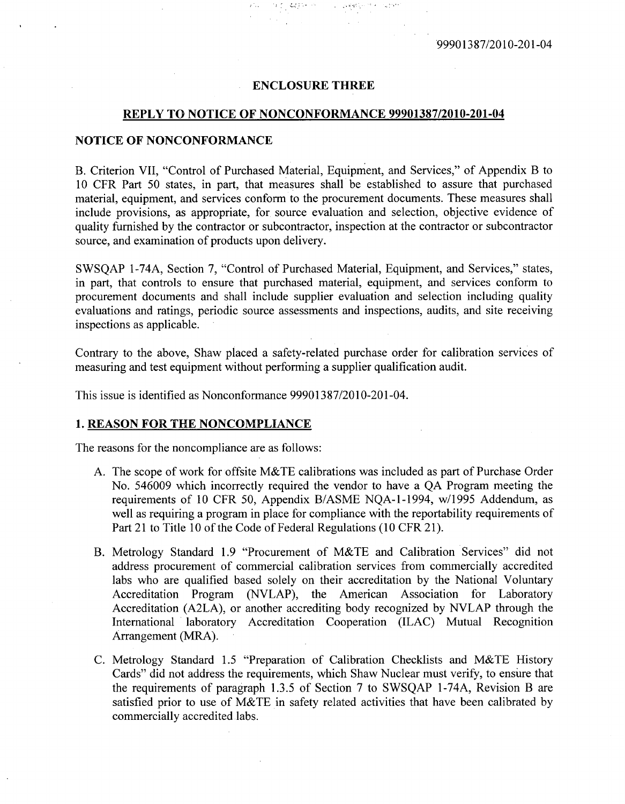#### **ENCLOSURE** THREE

a pijaagse en

#### REPLY TO **NOTICE** OF **NONCONFORMANCE 99901387/2010-201-04**

## **NOTICE** OF **NONCONFORMANCE**

B. Criterion VII, "Control of Purchased Material, Equipment, and Services," of Appendix B to 10 CFR Part 50 states, in part, that measures shall be established to assure that purchased material, equipment, and services conform to the procurement documents. These measures shall include provisions, as appropriate, for source evaluation and selection, objective evidence of quality furnished by the contractor or subcontractor, inspection at the contractor or subcontractor source, and examination of products upon delivery.

SWSQAP 1-74A, Section 7, "Control of Purchased Material, Equipment, and Services," states, in part, that controls to ensure that purchased material, equipment, and services conform to procurement documents and shall include supplier evaluation and selection including quality evaluations and ratings, periodic source assessments and inspections, audits, and site receiving inspections as applicable.

Contrary to the above, Shaw placed a safety-related purchase order for calibration services of measuring and test equipment without performing a supplier qualification audit.

This issue is identified as Nonconformance 99901387/2010-201-04.

## 1. REASON FOR THE NONCOMPLIANCE

The reasons for the noncompliance are as follows:

- A. The scope of work for offsite M&TE calibrations was included as part of Purchase Order No. 546009 which incorrectly required the vendor to have a QA Program meeting the requirements of 10 CFR 50, Appendix B/ASME NQA-1-1994, w/1995 Addendum, as well as requiring a program in place for compliance with the reportability requirements of Part 21 to Title 10 of the Code of Federal Regulations (10 CFR 21).
- B. Metrology Standard 1.9 "Procurement of M&TE and Calibration Services" did not address procurement of commercial calibration services from commercially accredited labs who are qualified based solely on their accreditation by the National Voluntary Accreditation Program (NVLAP), the American Association for Laboratory Accreditation (A2LA), or another accrediting body recognized by NVLAP through the International laboratory Accreditation Cooperation (ILAC) Mutual Recognition Arrangement (MRA).
- C. Metrology Standard 1.5 "Preparation of Calibration Checklists and M&TE History Cards" did not address the requirements, which Shaw Nuclear must verify, to ensure that the requirements of paragraph 1.3.5 of Section 7 to SWSQAP 1-74A, Revision B are satisfied prior to use of M&TE in safety related activities that have been calibrated by commercially accredited labs.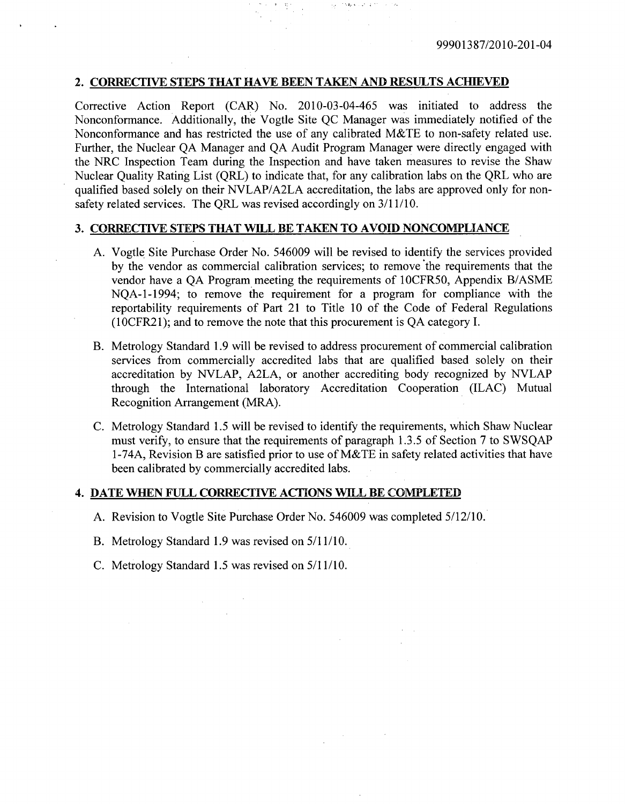## 2. CORRECTIVE **STEPS** THAT **HAVE BEEN TAKEN AND RESULTS** ACHIEVED

Corrective Action Report (CAR) No. 2010-03-04-465 was initiated to address the Nonconformance. Additionally, the Vogtle Site QC Manager was immediately notified of the Nonconformance and has restricted the use of any calibrated M&TE to non-safety related use. Further, the Nuclear QA Manager and QA Audit Program Manager were directly engaged with the NRC Inspection Team during the Inspection and have taken measures to revise the Shaw Nuclear Quality Rating List (QRL) to indicate that, for any calibration labs on the QRL who are qualified based solely on their NVLAP/A2LA accreditation, the labs are approved only for nonsafety related services. The QRL was revised accordingly on 3/11/10.

 $\mathcal{L} \subset \mathcal{L}$ 

## 3. CORRECTIVE STEPS THAT **WILL** BE TAKEN TO **AVOID** NONCOMPLIANCE

- A. Vogtle Site Purchase Order No. 546009 will be revised to identify the services provided by the vendor as commercial calibration services; to remove the requirements that the vendor have a QA Program meeting the requirements of 1OCFR50, Appendix B/ASME NQA-1-1994; to remove the requirement for a program for compliance with the reportability requirements of Part 21 to Title 10 of the Code of Federal Regulations (1OCFR2 1); and to remove the note that this procurement is QA category I.
- B. Metrology Standard 1.9 will be revised to address procurement of commercial calibration services from commercially accredited labs that are qualified based solely on their accreditation by NVLAP, A2LA, or another accrediting body recognized by NVLAP through the International laboratory Accreditation Cooperation (ILAC) Mutual Recognition Arrangement (MRA).
- C. Metrology Standard 1.5 will be revised to identify the requirements, which Shaw Nuclear must verify, to ensure that the requirements of paragraph 1.3.5 of Section 7 to SWSQAP 1-74A, Revision B are satisfied prior to use of M&TE in safety related activities that have been calibrated by commercially accredited labs.

### 4. **DATE WHEN FULL** CORRECTIVE ACTIONS WILL BE COMPLETED

- A. Revision to Vogtle Site Purchase Order No. 546009 was completed 5/12/10.
- B. Metrology Standard 1.9 was revised on 5/11/10.
- C. Metrology Standard 1.5 was revised on 5/11/10.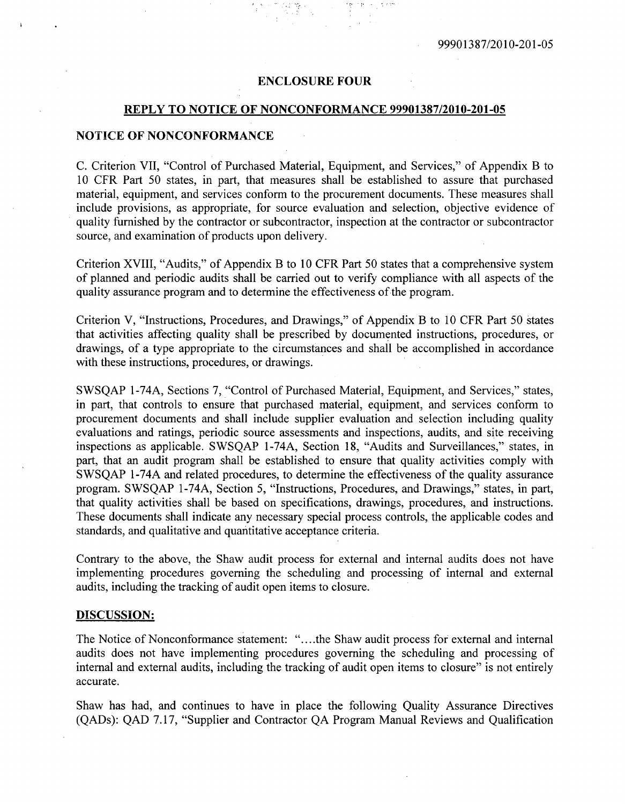## **ENCLOSURE** FOUR

#### REPLY TO **NOTICE** OF **NONCONFORMANCE 99901387/2010-201-05**

## **NOTICE** OF **NONCONFORMANCE**

**C.** Criterion VII, "Control of Purchased Material, Equipment, and Services," of Appendix B to **10** CFR Part **50** states, in part, that measures shall be established to assure that purchased material, equipment, and services conform to the procurement documents. These measures shall include provisions, as appropriate, for source evaluation and selection, objective evidence of quality furnished **by** the contractor or subcontractor, inspection at the contractor or subcontractor source, and examination of products upon delivery.

Criterion XVIII, "Audits," of Appendix B to **10** CFR Part **50** states that a comprehensive system of planned and periodic audits shall be carried out to verify compliance with all aspects of the quality assurance program and to determine the effectiveness of the program.

Criterion V, "Instructions, Procedures, and Drawings," of Appendix B to **10** CFR Part **50** states that activities affecting quality shall be prescribed **by** documented instructions, procedures, or drawings, of a type appropriate to the circumstances and shall be accomplished in accordance with these instructions, procedures, or drawings.

**SWSQAP** I-74A, Sections **7,** "Control of Purchased Material, Equipment, and Services," states, in part, that controls to ensure that purchased material, equipment, and services conform to procurement documents and shall include supplier evaluation and selection including quality evaluations and ratings, periodic source assessments and inspections, audits, and site receiving inspections as applicable. **SWSQAP** 1-74A, Section **18,** "Audits and Surveillances," states, in part, that an audit program shall be established to ensure that quality activities comply with **SWSQAP** 1-74A and related procedures, to determine the effectiveness of the quality assurance program. **SWSQAP** 1-74A, Section **5,** "Instructions, Procedures, and Drawings," states, in part, that quality activities shall be based on specifications, drawings, procedures, and instructions. These documents shall indicate any necessary special process controls, the applicable codes and standards, and qualitative and quantitative acceptance criteria.

Contrary to the above, the Shaw audit process for external and internal audits does not have implementing procedures governing the scheduling and processing of internal and external audits, including the tracking of audit open items to closure.

#### **DISCUSSION:**

The Notice of Nonconformance statement: "....the Shaw audit process for external and internal audits does not have implementing procedures governing the scheduling and processing of internal and external audits, including the tracking of audit open items to closure" is not entirely accurate.

Shaw has had, and continues to have in place the following Quality Assurance Directives (QADs): **QAD 7.17,** "Supplier and Contractor **QA** Program Manual Reviews and Qualification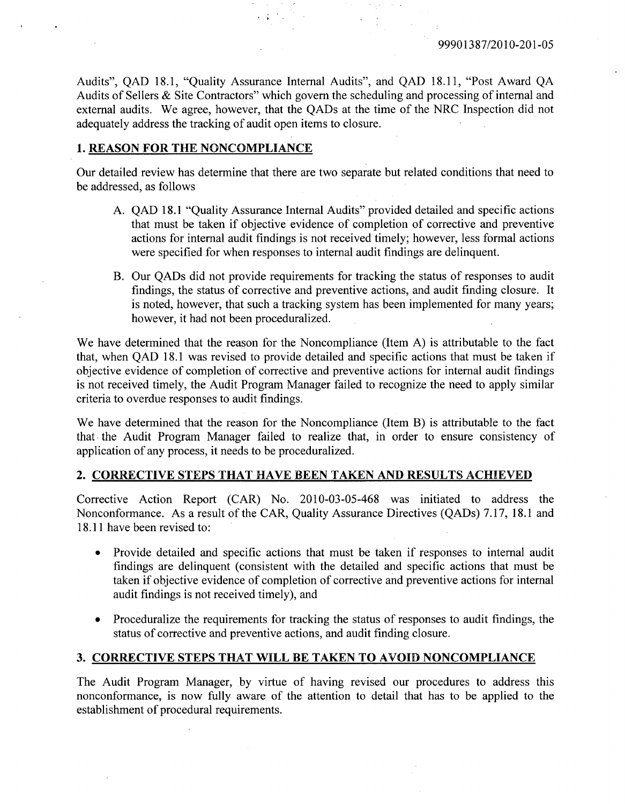Audits", QAD 18.1, "Quality Assurance Internal Audits", and QAD 18.11, "Post Award QA Audits of Sellers & Site Contractors" which govern the scheduling and processing of internal and external audits. We agree, however, that the QADs at the time of the NRC Inspection did not adequately address the tracking of audit open items to closure.

## 1. REASON FOR THE **NONCOMPLIANCE**

Our detailed review has determine that there are two separate but related conditions that need to be addressed, as follows

- A. QAD 18.1 "Quality Assurance Internal Audits" provided detailed and specific actions that must be taken if objective evidence of completion of corrective and preventive actions for internal audit findings is not received timely; however, less formal actions were specified for when responses to internal audit findings are delinquent.
- B. Our QADs did not provide requirements for tracking the status of responses to audit findings, the status of corrective and preventive actions, and audit finding closure. It is noted, however, that such a tracking system has been implemented for many years; however, it had not been proceduralized.

We have determined that the reason for the Noncompliance (Item A) is attributable to the fact that, when QAD 18.1 was revised to provide detailed and specific actions that must be taken if objective evidence of completion of corrective and preventive actions for internal audit findings is not received timely, the Audit Program Manager failed to recognize the need to apply similar criteria to overdue responses to audit findings.

We have determined that the reason for the Noncompliance (Item B) is attributable to the fact that the Audit Program Manager failed to realize that, in order to ensure consistency of application of any process, it needs to be proceduralized.

### 2. CORRECTIVE **STEPS** THAT **HAVE BEEN TAKEN AND RESULTS ACHIEVED**

Corrective Action Report (CAR) No. 2010-03-05-468 was initiated to address the Nonconformance. As a result of the CAR, Quality Assurance Directives (QADs) 7.17, 18.1 and 18.11 have been revised to:

- \* Provide detailed and specific actions that must be taken if responses to internal audit findings are delinquent (consistent with the detailed and specific actions that must be taken if objective evidence of completion of corrective and preventive actions for internal audit findings is not received timely), and
- \* Proceduralize the requirements for tracking the status of responses to audit findings, the status of corrective and preventive actions, and audit finding closure.

# **3.** CORRECTIVE **STEPS** THAT WILL BE **TAKEN** TO **AVOID NONCOMPLIANCE**

The Audit Program Manager, by virtue of having revised our procedures to address this nonconformance, is now fully aware of the attention to detail that has to be applied to the establishment of procedural requirements.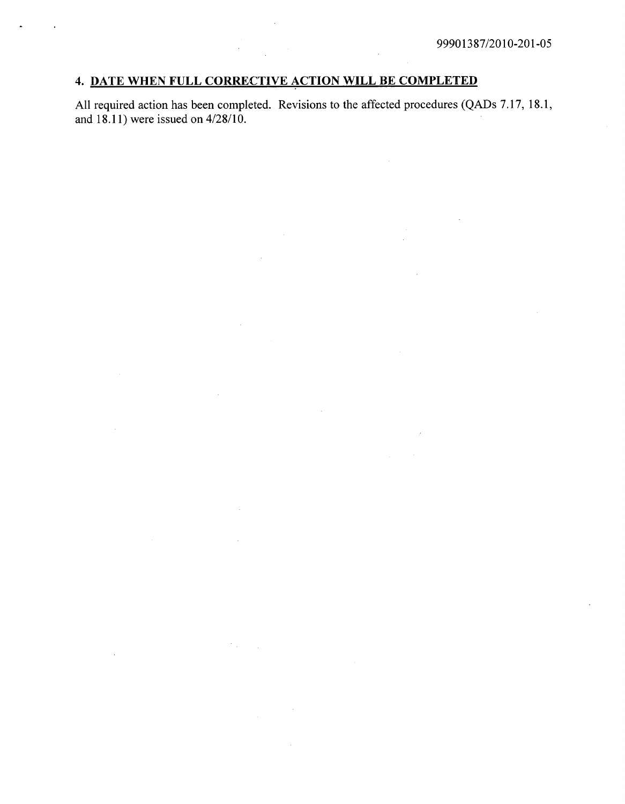# 4. **DATE WHEN FULL** CORRECTIVE **ACTION** WILL BE COMPLETED

 $\mathcal{L}^{\mathcal{L}}$ 

All required action has been completed. Revisions to the affected procedures (QADs 7.17, 18.1, and 18.11) were issued on 4/28/10.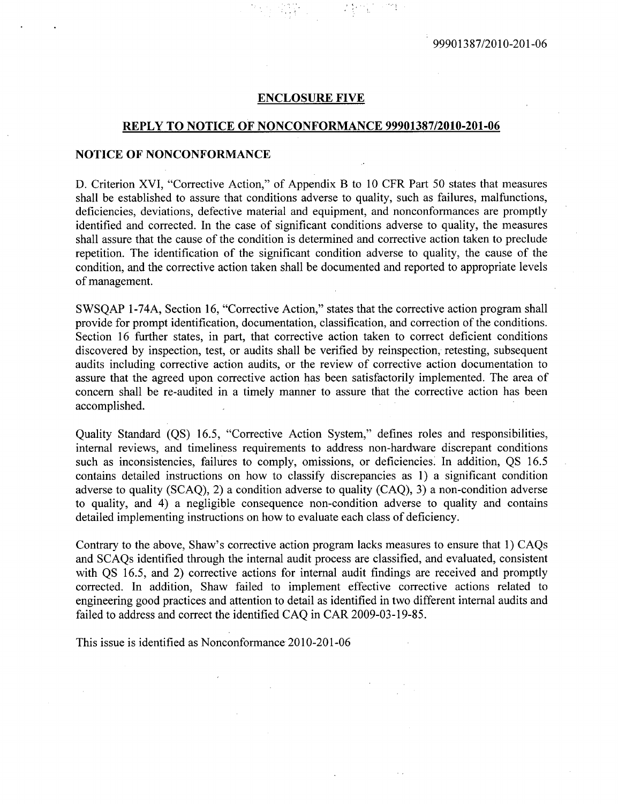#### **ENCLOSURE** FIVE

# REPLY TO **NOTICE OF NONCONFORMANCE 99901387/2010-201-06**

#### **NOTICE** OF **NONCONFORMANCE**

**D.** Criterion XVI, "Corrective Action," of Appendix B to 10 CFR Part 50 states that measures shall be established to assure that conditions adverse to quality, such as failures, malfunctions, deficiencies, deviations, defective material and equipment, and nonconformances are promptly identified and corrected. In the case of significant conditions adverse to quality, the measures shall assure that the cause of the condition is determined and corrective action taken to preclude repetition. The identification of the significant condition adverse to quality, the cause of the condition, and the corrective action taken shall be documented and reported to appropriate levels of management.

SWSQAP 1-74A, Section 16, "Corrective Action," states that the corrective action program shall provide for prompt identification, documentation, classification, and correction of the conditions. Section 16 further states, in part, that corrective action taken to correct deficient conditions discovered by inspection, test, or audits shall be verified by reinspection, retesting, subsequent audits including corrective action audits, or the review of corrective action documentation to assure that the agreed upon corrective action has been satisfactorily implemented. The area of concern shall be re-audited in a timely manner to assure that the corrective action has been accomplished.

Quality Standard (QS) 16.5, "Corrective Action System," defines roles and responsibilities, internal reviews, and timeliness requirements to address non-hardware discrepant conditions such as inconsistencies, failures to comply, omissions, or deficiencies. In addition, QS 16.5 contains detailed instructions on how to classify discrepancies as 1) a significant condition adverse to quality (SCAQ), 2) a condition adverse to quality (CAQ), 3) a non-condition adverse to quality, and 4) a negligible consequence non-condition adverse to quality and contains detailed implementing instructions on how to evaluate each class of deficiency.

Contrary to the above, Shaw's corrective action program lacks measures to ensure that 1) CAQs and SCAQs identified through the internal audit process are classified, and evaluated, consistent with QS 16.5, and 2) corrective actions for internal audit findings are received and promptly corrected. In addition, Shaw failed to implement effective corrective actions related to engineering good practices and attention to detail as identified in two different internal audits and failed to address and correct the identified CAQ in CAR 2009-03-19-85.

This issue is identified as Nonconformance 2010-201-06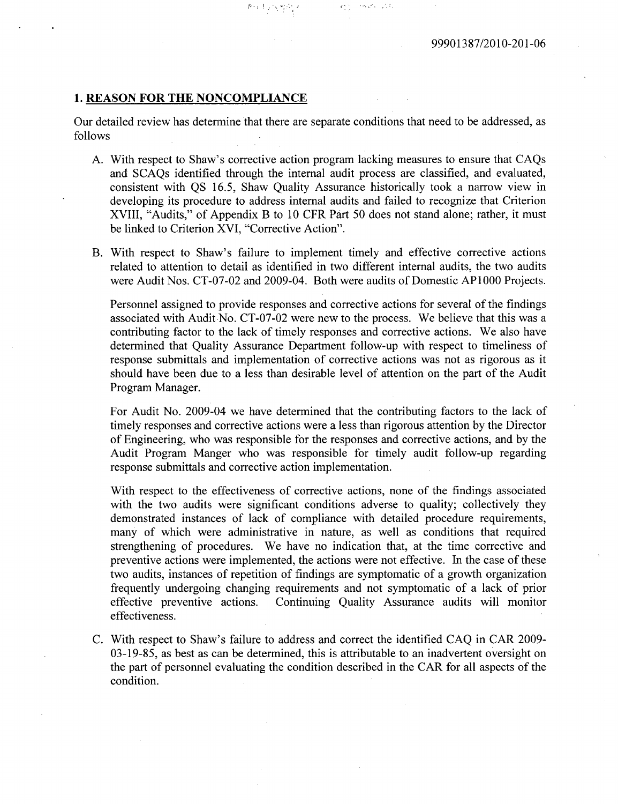## **1. REASON** FOR THE **NONCOMPLIANCE**

Our detailed review has determine that there are separate conditions that need to be addressed, as **follows**

 $\label{eq:3} \langle \gamma \cdot \infty \rangle_{\mathcal{C}^{\mathcal{C}}(x)} = \varphi_{\infty}^{\mathcal{C}}(x),$ 

- **A.** With respect to Shaw's corrective action program lacking measures to ensure that CAQs and SCAQs identified through the internal audit process are classified, and evaluated, consistent with **QS 16.5,** Shaw Quality Assurance historically took a narrow view in developing its procedure to address internal audits and failed to recognize that Criterion XVIII, "Audits," of Appendix B to **10** CFR **Part 50** does not stand alone; rather, it must be linked to Criterion XVI, "Corrective Action".
- B. With respect to Shaw's failure to implement timely and effective corrective actions related to attention to detail as identified in two different internal audits, the two audits were Audit Nos. **CT-07-02** and 2009-04. Both were audits of Domestic AP **1000** Projects.

Personnel assigned to provide responses and corrective actions for several of the findings associated with Audit No. CT-07-02 were new to the process. We believe that this was a contributing factor to the lack of timely responses and corrective actions. We also have determined that Quality Assurance Department follow-up with respect to timeliness of response submittals and implementation of corrective actions was not as rigorous as it should have been due to a less than desirable level of attention on the part of the Audit Program Manager.

For Audit No. 2009-04 we have determined that the contributing factors to the lack of timely responses and corrective actions were a less than rigorous attention **by** the Director of Engineering, who was responsible for the responses and corrective actions, and **by** the Audit Program Manger who was responsible for timely audit follow-up regarding response submittals and corrective action implementation.

With respect to the effectiveness of corrective actions, none of the findings associated with the two audits were significant conditions adverse to quality; collectively they demonstrated instances of lack of compliance with detailed procedure requirements, many of which were administrative in nature, as well as conditions that required strengthening of procedures. We have no indication that, at the time corrective and preventive actions were implemented, the actions were not effective. In the case of these two audits, instances of repetition of findings are symptomatic of a growth organization frequently undergoing changing requirements and not symptomatic of a lack of prior effective preventive actions. Continuing Quality Assurance audits will monitor effectiveness.

**C.** With respect to Shaw's failure to address and correct the identified **CAQ** in CAR **2009- 03-19-85,** as best as can be determined, this is attributable to an inadvertent oversight on the part of personnel evaluating the condition described in the CAR for all aspects of the condition.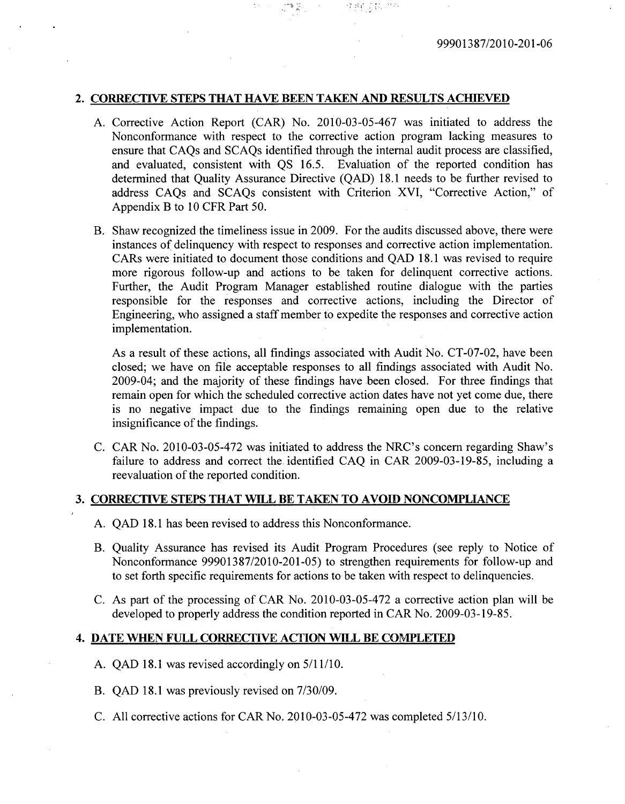#### 2. CORRECTIVE **STEPS** THAT **HAVE BEEN TAKEN AND RESULTS** ACHIEVED

- **A.** Corrective Action Report (CAR) No. 2010-03-05-467 was initiated to address the Nonconformance with respect to the corrective action program lacking measures to ensure that CAQs and SCAQs identified through the internal audit process are classified, and evaluated, consistent with QS 16.5. Evaluation of the reported condition has determined that Quality Assurance Directive (QAD) 18.1 needs to be further revised to address CAQs and SCAQs consistent with Criterion XVI, "Corrective Action," of Appendix B to 10 CFR Part 50.
- B. Shaw recognized the timeliness issue in 2009. For the audits discussed above, there were instances of delinquency with respect to responses and corrective action implementation. CARs were initiated to document those conditions and QAD 18.1 was revised to require more rigorous follow-up and actions to be taken for delinquent corrective actions. Further, the Audit Program Manager established routine dialogue with the parties responsible for the responses and corrective actions, including the Director of Engineering, who assigned a staff member to expedite the responses and corrective action implementation.

As a result of these actions, all findings associated with Audit No. CT-07-02, have been closed; we have on file acceptable responses to all findings associated with Audit No. 2009-04; and the majority of these findings have been closed. For three findings that remain open for which the scheduled corrective action dates have not yet come due, there is no negative impact due to the findings remaining open due to the relative insignificance of the findings.

C. CAR No. 2010-03-05-472 was initiated to address the NRC's concern regarding Shaw's failure to address and correct the identified CAQ in CAR 2009-03-19-85, including a reevaluation of the reported condition.

# 3. CORRECTIVE STEPS THAT WILL BE TAKEN TO **AVOID** NONCOMPLIANCE

- A. QAD 18.1 has been revised to address this Nonconformance.
- B. Quality Assurance has revised its Audit Program Procedures (see reply to Notice of Nonconformance 99901387/2010-201-05) to strengthen requirements for follow-up and to set forth specific requirements for actions to be taken with respect to delinquencies.
- C. As part of the processing of CAR No. 2010-03-05-472 a corrective action plan will be developed to properly address the condition reported in CAR No. 2009-03-19-85.

#### 4. **DATE** WHEN FULL CORRECTIVE **ACTION** WILL BE COMPLETED

- A. QAD 18.1 was revised accordingly on 5/11/10.
- B. QAD 18.1 was previously revised on 7/30/09.
- C. All corrective actions for CAR No. 2010-03-05-472 was completed 5/13/10.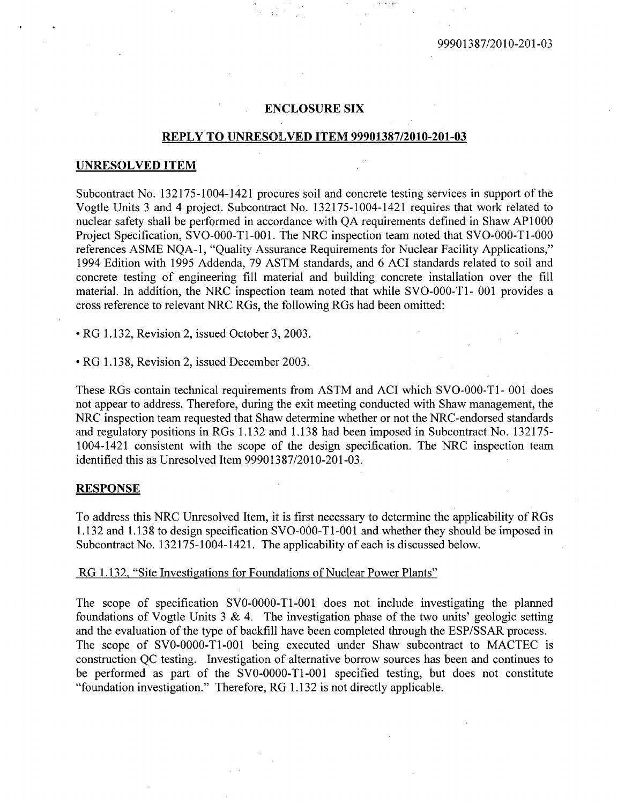## **ENCLOSURE** SIX

# REPLY TO UNRESOLVED ITEM **99901387/2010-201-03**

#### **UNRESOLVED ITEM**

Subcontract No. 132175-1004-1421 procures soil and concrete testing services in support of the Vogtle Units 3 and 4 project. Subcontract No. 132175-1004-1421 requires that work related to nuclear safety shall be performed in accordance with QA requirements defined in Shaw AP 1000 Project Specification, SVO-000-T1-001. The NRC inspection team noted that SVO-000-T1-000 references ASME NQA-1, "Quality Assurance Requirements for Nuclear Facility Applications," 1994 Edition with 1995 Addenda, 79 ASTM standards, and 6 ACI standards related to soil and concrete testing of engineering fill material and building concrete installation over the fill material. In addition, the NRC inspection team noted that while SVO-000-T1- 001 provides a cross reference to relevant NRC RGs, the following RGs had been omitted:

**"** RG 1.132, Revision 2, issued October 3, 2003.

\* RG 1.138, Revision 2, issued December 2003.

These RGs contain technical requirements from ASTM and ACI which SVO-000-T1- 001 does not appear to address. Therefore, during the exit meeting conducted with Shaw management, the NRC inspection team requested that Shaw determine whether or not the NRC-endorsed standards and regulatory positions in RGs 1.132 and 1.138 had been imposed in Subcontract No. 132175- 1004-1421 consistent with the scope of the design specification. The NRC inspection team identified this as Unresolved Item 99901387/2010-201-03.

## **RESPONSE**

To address this NRC Unresolved Item, it is first necessary to determine the applicability of RGs 1.132 and 1.138 to design specification SVO-000-T 1-001 and whether they should be imposed in Subcontract No. 132175-1004-1421. The applicability of each is discussed below.

## RG 1.132, "Site Investigations for Foundations of Nuclear Power Plants"

The scope of specification SVO-0000-T1-001 does not include investigating the planned foundations of Vogtle Units  $3 \& 4$ . The investigation phase of the two units' geologic setting and the evaluation of the type of backfill have been completed through the ESP/SSAR process. The scope of SVO-0000-T1-001 being executed under Shaw subcontract to MACTEC is construction QC testing. Investigation of alternative borrow sources has been and continues to be performed as part of the SVO-0000-T1-001 specified testing, but does not constitute "foundation investigation." Therefore, RG 1.132 is not directly applicable.